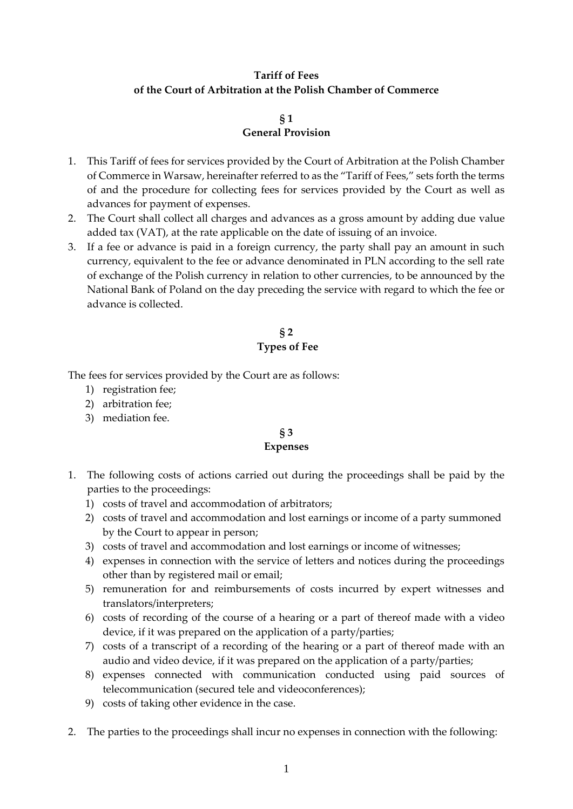# **Tariff of Fees of the Court of Arbitration at the Polish Chamber of Commerce**

## **§ 1 General Provision**

- 1. This Tariff of fees for services provided by the Court of Arbitration at the Polish Chamber of Commerce in Warsaw, hereinafter referred to as the "Tariff of Fees," sets forth the terms of and the procedure for collecting fees for services provided by the Court as well as advances for payment of expenses.
- 2. The Court shall collect all charges and advances as a gross amount by adding due value added tax (VAT), at the rate applicable on the date of issuing of an invoice.
- 3. If a fee or advance is paid in a foreign currency, the party shall pay an amount in such currency, equivalent to the fee or advance denominated in PLN according to the sell rate of exchange of the Polish currency in relation to other currencies, to be announced by the National Bank of Poland on the day preceding the service with regard to which the fee or advance is collected.

# **§ 2 Types of Fee**

The fees for services provided by the Court are as follows:

- 1) registration fee;
- 2) arbitration fee;
- 3) mediation fee.

# **§ 3**

## **Expenses**

- 1. The following costs of actions carried out during the proceedings shall be paid by the parties to the proceedings:
	- 1) costs of travel and accommodation of arbitrators;
	- 2) costs of travel and accommodation and lost earnings or income of a party summoned by the Court to appear in person;
	- 3) costs of travel and accommodation and lost earnings or income of witnesses;
	- 4) expenses in connection with the service of letters and notices during the proceedings other than by registered mail or email;
	- 5) remuneration for and reimbursements of costs incurred by expert witnesses and translators/interpreters;
	- 6) costs of recording of the course of a hearing or a part of thereof made with a video device, if it was prepared on the application of a party/parties;
	- 7) costs of a transcript of a recording of the hearing or a part of thereof made with an audio and video device, if it was prepared on the application of a party/parties;
	- 8) expenses connected with communication conducted using paid sources of telecommunication (secured tele and videoconferences);
	- 9) costs of taking other evidence in the case.
- 2. The parties to the proceedings shall incur no expenses in connection with the following: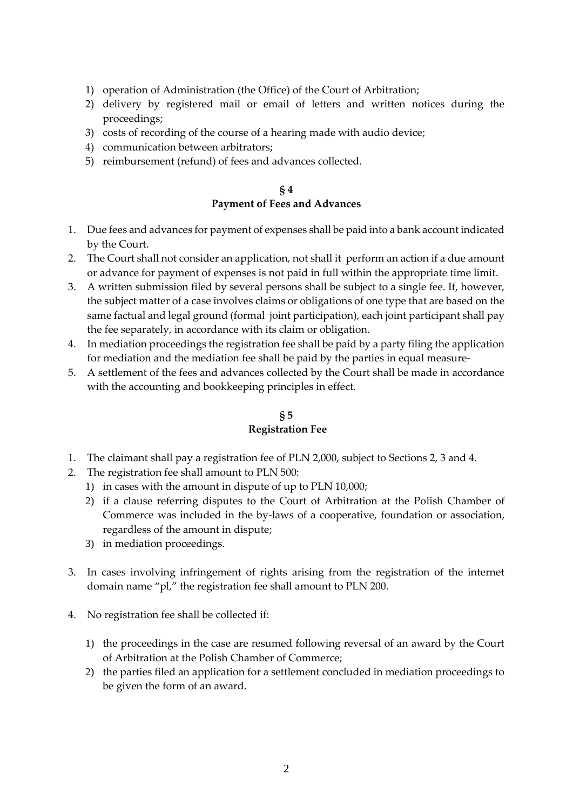- 1) operation of Administration (the Office) of the Court of Arbitration;
- 2) delivery by registered mail or email of letters and written notices during the proceedings;
- 3) costs of recording of the course of a hearing made with audio device;
- 4) communication between arbitrators;
- 5) reimbursement (refund) of fees and advances collected.

## **§ 4 Payment of Fees and Advances**

- 1. Due fees and advances for payment of expenses shall be paid into a bank account indicated by the Court.
- 2. The Court shall not consider an application, not shall it perform an action if a due amount or advance for payment of expenses is not paid in full within the appropriate time limit.
- 3. A written submission filed by several persons shall be subject to a single fee. If, however, the subject matter of a case involves claims or obligations of one type that are based on the same factual and legal ground (formal joint participation), each joint participant shall pay the fee separately, in accordance with its claim or obligation.
- 4. In mediation proceedings the registration fee shall be paid by a party filing the application for mediation and the mediation fee shall be paid by the parties in equal measure-
- 5. A settlement of the fees and advances collected by the Court shall be made in accordance with the accounting and bookkeeping principles in effect.

# **§ 5 Registration Fee**

- 1. The claimant shall pay a registration fee of PLN 2,000, subject to Sections 2, 3 and 4.
- 2. The registration fee shall amount to PLN 500:
	- 1) in cases with the amount in dispute of up to PLN 10,000;
	- 2) if a clause referring disputes to the Court of Arbitration at the Polish Chamber of Commerce was included in the by-laws of a cooperative, foundation or association, regardless of the amount in dispute;
	- 3) in mediation proceedings.
- 3. In cases involving infringement of rights arising from the registration of the internet domain name "pl," the registration fee shall amount to PLN 200.
- 4. No registration fee shall be collected if:
	- 1) the proceedings in the case are resumed following reversal of an award by the Court of Arbitration at the Polish Chamber of Commerce;
	- 2) the parties filed an application for a settlement concluded in mediation proceedings to be given the form of an award.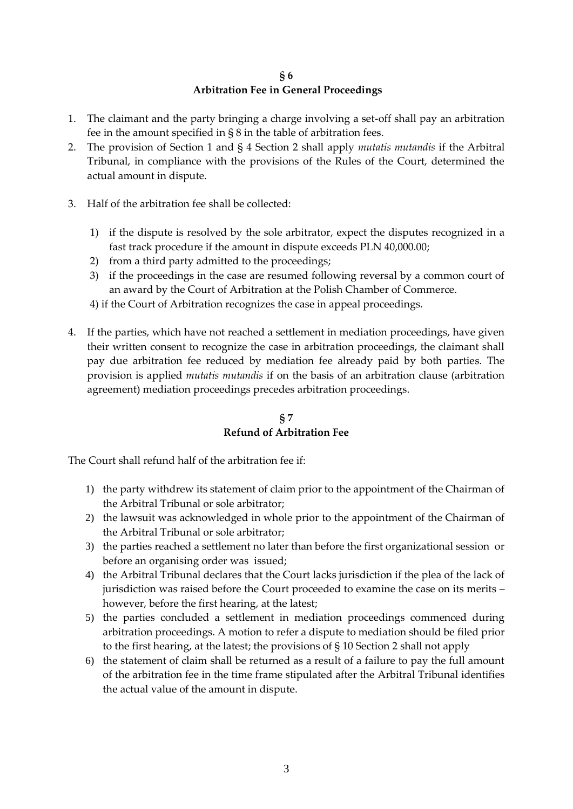#### **§ 6 Arbitration Fee in General Proceedings**

- 1. The claimant and the party bringing a charge involving a set-off shall pay an arbitration fee in the amount specified in § 8 in the table of arbitration fees.
- 2. The provision of Section 1 and § 4 Section 2 shall apply *mutatis mutandis* if the Arbitral Tribunal, in compliance with the provisions of the Rules of the Court, determined the actual amount in dispute.
- 3. Half of the arbitration fee shall be collected:
	- 1) if the dispute is resolved by the sole arbitrator, expect the disputes recognized in a fast track procedure if the amount in dispute exceeds PLN 40,000.00;
	- 2) from a third party admitted to the proceedings;
	- 3) if the proceedings in the case are resumed following reversal by a common court of an award by the Court of Arbitration at the Polish Chamber of Commerce.
	- 4) if the Court of Arbitration recognizes the case in appeal proceedings.
- 4. If the parties, which have not reached a settlement in mediation proceedings, have given their written consent to recognize the case in arbitration proceedings, the claimant shall pay due arbitration fee reduced by mediation fee already paid by both parties. The provision is applied *mutatis mutandis* if on the basis of an arbitration clause (arbitration agreement) mediation proceedings precedes arbitration proceedings.

## **§ 7 Refund of Arbitration Fee**

The Court shall refund half of the arbitration fee if:

- 1) the party withdrew its statement of claim prior to the appointment of the Chairman of the Arbitral Tribunal or sole arbitrator;
- 2) the lawsuit was acknowledged in whole prior to the appointment of the Chairman of the Arbitral Tribunal or sole arbitrator;
- 3) the parties reached a settlement no later than before the first organizational session or before an organising order was issued;
- 4) the Arbitral Tribunal declares that the Court lacks jurisdiction if the plea of the lack of jurisdiction was raised before the Court proceeded to examine the case on its merits – however, before the first hearing, at the latest;
- 5) the parties concluded a settlement in mediation proceedings commenced during arbitration proceedings. A motion to refer a dispute to mediation should be filed prior to the first hearing, at the latest; the provisions of § 10 Section 2 shall not apply
- 6) the statement of claim shall be returned as a result of a failure to pay the full amount of the arbitration fee in the time frame stipulated after the Arbitral Tribunal identifies the actual value of the amount in dispute.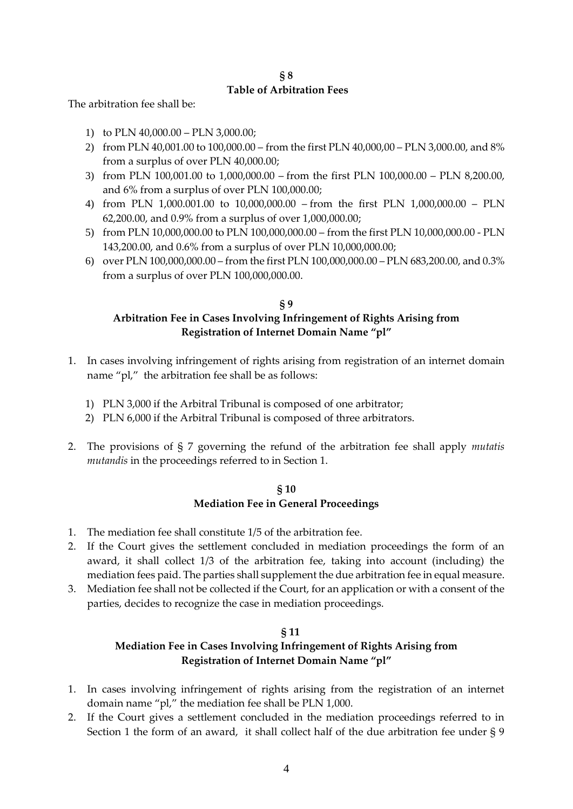#### **§ 8 Table of Arbitration Fees**

The arbitration fee shall be:

- 1) to PLN 40,000.00 PLN 3,000.00;
- 2) from PLN 40,001.00 to 100,000.00 from the first PLN 40,000,00 PLN 3,000.00, and 8% from a surplus of over PLN 40,000.00;
- 3) from PLN 100,001.00 to 1,000,000.00 from the first PLN 100,000.00 PLN 8,200.00, and 6% from a surplus of over PLN 100,000.00;
- 4) from PLN 1,000.001.00 to 10,000,000.00 from the first PLN 1,000,000.00 PLN 62,200.00, and 0.9% from a surplus of over 1,000,000.00;
- 5) from PLN 10,000,000.00 to PLN 100,000,000.00 from the first PLN 10,000,000.00 PLN 143,200.00, and 0.6% from a surplus of over PLN 10,000,000.00;
- 6) over PLN 100,000,000.00 from the first PLN 100,000,000.00 PLN 683,200.00, and 0.3% from a surplus of over PLN 100,000,000.00.

## **§ 9 Arbitration Fee in Cases Involving Infringement of Rights Arising from Registration of Internet Domain Name "pl"**

- 1. In cases involving infringement of rights arising from registration of an internet domain name "pl," the arbitration fee shall be as follows:
	- 1) PLN 3,000 if the Arbitral Tribunal is composed of one arbitrator;
	- 2) PLN 6,000 if the Arbitral Tribunal is composed of three arbitrators.
- 2. The provisions of § 7 governing the refund of the arbitration fee shall apply *mutatis mutandis* in the proceedings referred to in Section 1.

## **§ 10 Mediation Fee in General Proceedings**

- 1. The mediation fee shall constitute 1/5 of the arbitration fee.
- 2. If the Court gives the settlement concluded in mediation proceedings the form of an award, it shall collect 1/3 of the arbitration fee, taking into account (including) the mediation fees paid. The parties shall supplement the due arbitration fee in equal measure.
- 3. Mediation fee shall not be collected if the Court, for an application or with a consent of the parties, decides to recognize the case in mediation proceedings.

# **§ 11**

# **Mediation Fee in Cases Involving Infringement of Rights Arising from Registration of Internet Domain Name "pl"**

- 1. In cases involving infringement of rights arising from the registration of an internet domain name "pl," the mediation fee shall be PLN 1,000.
- 2. If the Court gives a settlement concluded in the mediation proceedings referred to in Section 1 the form of an award, it shall collect half of the due arbitration fee under § 9